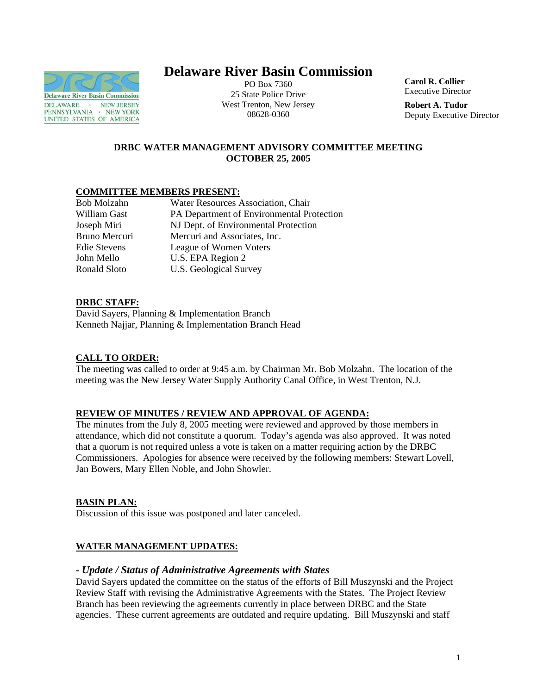

# **Delaware River Basin Commission**

PO Box 7360 25 State Police Drive West Trenton, New Jersey 08628-0360

**Carol R. Collier** Executive Director

**Robert A. Tudor**  Deputy Executive Director

## **DRBC WATER MANAGEMENT ADVISORY COMMITTEE MEETING OCTOBER 25, 2005**

## **COMMITTEE MEMBERS PRESENT:**

| Bob Molzahn   | Water Resources Association, Chair        |
|---------------|-------------------------------------------|
| William Gast  | PA Department of Environmental Protection |
| Joseph Miri   | NJ Dept. of Environmental Protection      |
| Bruno Mercuri | Mercuri and Associates, Inc.              |
| Edie Stevens  | League of Women Voters                    |
| John Mello    | U.S. EPA Region 2                         |
| Ronald Sloto  | U.S. Geological Survey                    |
|               |                                           |

## **DRBC STAFF:**

David Sayers, Planning & Implementation Branch Kenneth Najjar, Planning & Implementation Branch Head

## **CALL TO ORDER:**

The meeting was called to order at 9:45 a.m. by Chairman Mr. Bob Molzahn. The location of the meeting was the New Jersey Water Supply Authority Canal Office, in West Trenton, N.J.

### **REVIEW OF MINUTES / REVIEW AND APPROVAL OF AGENDA:**

The minutes from the July 8, 2005 meeting were reviewed and approved by those members in attendance, which did not constitute a quorum. Today's agenda was also approved. It was noted that a quorum is not required unless a vote is taken on a matter requiring action by the DRBC Commissioners. Apologies for absence were received by the following members: Stewart Lovell, Jan Bowers, Mary Ellen Noble, and John Showler.

### **BASIN PLAN:**

Discussion of this issue was postponed and later canceled.

### **WATER MANAGEMENT UPDATES:**

### *- Update / Status of Administrative Agreements with States*

David Sayers updated the committee on the status of the efforts of Bill Muszynski and the Project Review Staff with revising the Administrative Agreements with the States. The Project Review Branch has been reviewing the agreements currently in place between DRBC and the State agencies. These current agreements are outdated and require updating. Bill Muszynski and staff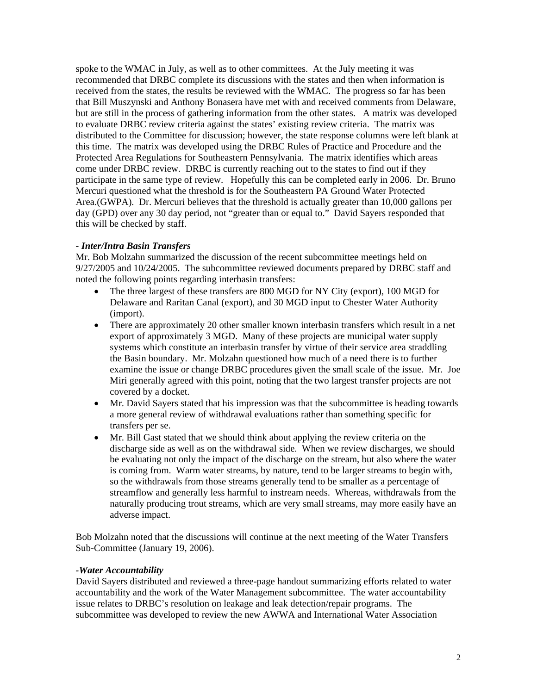spoke to the WMAC in July, as well as to other committees. At the July meeting it was recommended that DRBC complete its discussions with the states and then when information is received from the states, the results be reviewed with the WMAC. The progress so far has been that Bill Muszynski and Anthony Bonasera have met with and received comments from Delaware, but are still in the process of gathering information from the other states. A matrix was developed to evaluate DRBC review criteria against the states' existing review criteria. The matrix was distributed to the Committee for discussion; however, the state response columns were left blank at this time. The matrix was developed using the DRBC Rules of Practice and Procedure and the Protected Area Regulations for Southeastern Pennsylvania. The matrix identifies which areas come under DRBC review. DRBC is currently reaching out to the states to find out if they participate in the same type of review. Hopefully this can be completed early in 2006. Dr. Bruno Mercuri questioned what the threshold is for the Southeastern PA Ground Water Protected Area.(GWPA). Dr. Mercuri believes that the threshold is actually greater than 10,000 gallons per day (GPD) over any 30 day period, not "greater than or equal to." David Sayers responded that this will be checked by staff.

### *- Inter/Intra Basin Transfers*

Mr. Bob Molzahn summarized the discussion of the recent subcommittee meetings held on 9/27/2005 and 10/24/2005. The subcommittee reviewed documents prepared by DRBC staff and noted the following points regarding interbasin transfers:

- The three largest of these transfers are 800 MGD for NY City (export), 100 MGD for Delaware and Raritan Canal (export), and 30 MGD input to Chester Water Authority (import).
- There are approximately 20 other smaller known interbasin transfers which result in a net export of approximately 3 MGD. Many of these projects are municipal water supply systems which constitute an interbasin transfer by virtue of their service area straddling the Basin boundary. Mr. Molzahn questioned how much of a need there is to further examine the issue or change DRBC procedures given the small scale of the issue. Mr. Joe Miri generally agreed with this point, noting that the two largest transfer projects are not covered by a docket.
- Mr. David Sayers stated that his impression was that the subcommittee is heading towards a more general review of withdrawal evaluations rather than something specific for transfers per se.
- Mr. Bill Gast stated that we should think about applying the review criteria on the discharge side as well as on the withdrawal side. When we review discharges, we should be evaluating not only the impact of the discharge on the stream, but also where the water is coming from. Warm water streams, by nature, tend to be larger streams to begin with, so the withdrawals from those streams generally tend to be smaller as a percentage of streamflow and generally less harmful to instream needs. Whereas, withdrawals from the naturally producing trout streams, which are very small streams, may more easily have an adverse impact.

Bob Molzahn noted that the discussions will continue at the next meeting of the Water Transfers Sub-Committee (January 19, 2006).

#### *-Water Accountability*

David Sayers distributed and reviewed a three-page handout summarizing efforts related to water accountability and the work of the Water Management subcommittee. The water accountability issue relates to DRBC's resolution on leakage and leak detection/repair programs. The subcommittee was developed to review the new AWWA and International Water Association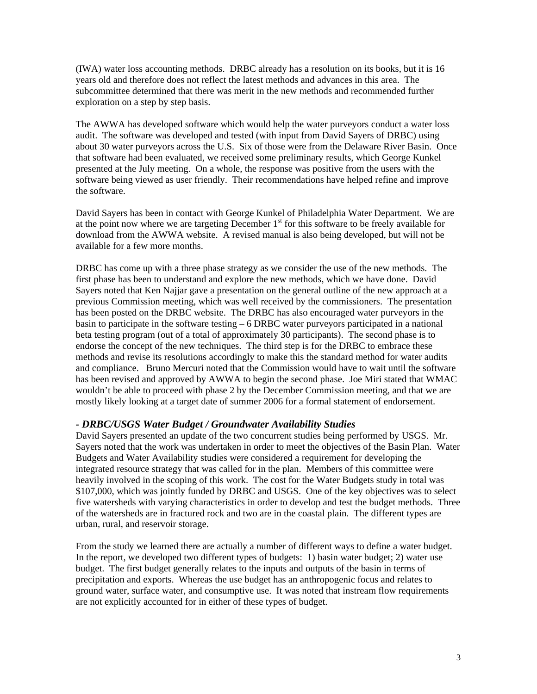(IWA) water loss accounting methods. DRBC already has a resolution on its books, but it is 16 years old and therefore does not reflect the latest methods and advances in this area. The subcommittee determined that there was merit in the new methods and recommended further exploration on a step by step basis.

The AWWA has developed software which would help the water purveyors conduct a water loss audit. The software was developed and tested (with input from David Sayers of DRBC) using about 30 water purveyors across the U.S. Six of those were from the Delaware River Basin. Once that software had been evaluated, we received some preliminary results, which George Kunkel presented at the July meeting. On a whole, the response was positive from the users with the software being viewed as user friendly. Their recommendations have helped refine and improve the software.

David Sayers has been in contact with George Kunkel of Philadelphia Water Department. We are at the point now where we are targeting December  $1<sup>st</sup>$  for this software to be freely available for download from the AWWA website. A revised manual is also being developed, but will not be available for a few more months.

DRBC has come up with a three phase strategy as we consider the use of the new methods. The first phase has been to understand and explore the new methods, which we have done. David Sayers noted that Ken Najjar gave a presentation on the general outline of the new approach at a previous Commission meeting, which was well received by the commissioners. The presentation has been posted on the DRBC website. The DRBC has also encouraged water purveyors in the basin to participate in the software testing – 6 DRBC water purveyors participated in a national beta testing program (out of a total of approximately 30 participants). The second phase is to endorse the concept of the new techniques. The third step is for the DRBC to embrace these methods and revise its resolutions accordingly to make this the standard method for water audits and compliance. Bruno Mercuri noted that the Commission would have to wait until the software has been revised and approved by AWWA to begin the second phase. Joe Miri stated that WMAC wouldn't be able to proceed with phase 2 by the December Commission meeting, and that we are mostly likely looking at a target date of summer 2006 for a formal statement of endorsement.

#### *- DRBC/USGS Water Budget / Groundwater Availability Studies*

David Sayers presented an update of the two concurrent studies being performed by USGS. Mr. Sayers noted that the work was undertaken in order to meet the objectives of the Basin Plan. Water Budgets and Water Availability studies were considered a requirement for developing the integrated resource strategy that was called for in the plan. Members of this committee were heavily involved in the scoping of this work. The cost for the Water Budgets study in total was \$107,000, which was jointly funded by DRBC and USGS. One of the key objectives was to select five watersheds with varying characteristics in order to develop and test the budget methods. Three of the watersheds are in fractured rock and two are in the coastal plain. The different types are urban, rural, and reservoir storage.

From the study we learned there are actually a number of different ways to define a water budget. In the report, we developed two different types of budgets: 1) basin water budget; 2) water use budget. The first budget generally relates to the inputs and outputs of the basin in terms of precipitation and exports. Whereas the use budget has an anthropogenic focus and relates to ground water, surface water, and consumptive use. It was noted that instream flow requirements are not explicitly accounted for in either of these types of budget.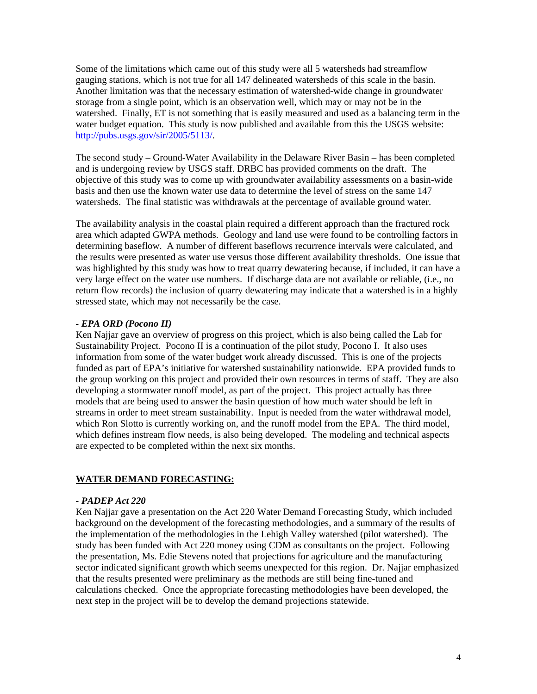Some of the limitations which came out of this study were all 5 watersheds had streamflow gauging stations, which is not true for all 147 delineated watersheds of this scale in the basin. Another limitation was that the necessary estimation of watershed-wide change in groundwater storage from a single point, which is an observation well, which may or may not be in the watershed. Finally, ET is not something that is easily measured and used as a balancing term in the water budget equation. This study is now published and available from this the USGS website: [http://pubs.usgs.gov/sir/2005/5113/.](http://pubs.usgs.gov/sir/2005/5113/)

The second study – Ground-Water Availability in the Delaware River Basin – has been completed and is undergoing review by USGS staff. DRBC has provided comments on the draft. The objective of this study was to come up with groundwater availability assessments on a basin-wide basis and then use the known water use data to determine the level of stress on the same 147 watersheds. The final statistic was withdrawals at the percentage of available ground water.

The availability analysis in the coastal plain required a different approach than the fractured rock area which adapted GWPA methods. Geology and land use were found to be controlling factors in determining baseflow. A number of different baseflows recurrence intervals were calculated, and the results were presented as water use versus those different availability thresholds. One issue that was highlighted by this study was how to treat quarry dewatering because, if included, it can have a very large effect on the water use numbers. If discharge data are not available or reliable, (i.e., no return flow records) the inclusion of quarry dewatering may indicate that a watershed is in a highly stressed state, which may not necessarily be the case.

### *- EPA ORD (Pocono II)*

Ken Najjar gave an overview of progress on this project, which is also being called the Lab for Sustainability Project. Pocono II is a continuation of the pilot study, Pocono I. It also uses information from some of the water budget work already discussed. This is one of the projects funded as part of EPA's initiative for watershed sustainability nationwide. EPA provided funds to the group working on this project and provided their own resources in terms of staff. They are also developing a stormwater runoff model, as part of the project. This project actually has three models that are being used to answer the basin question of how much water should be left in streams in order to meet stream sustainability. Input is needed from the water withdrawal model, which Ron Slotto is currently working on, and the runoff model from the EPA. The third model, which defines instream flow needs, is also being developed. The modeling and technical aspects are expected to be completed within the next six months.

## **WATER DEMAND FORECASTING:**

## *- PADEP Act 220*

Ken Najjar gave a presentation on the Act 220 Water Demand Forecasting Study, which included background on the development of the forecasting methodologies, and a summary of the results of the implementation of the methodologies in the Lehigh Valley watershed (pilot watershed). The study has been funded with Act 220 money using CDM as consultants on the project. Following the presentation, Ms. Edie Stevens noted that projections for agriculture and the manufacturing sector indicated significant growth which seems unexpected for this region. Dr. Najjar emphasized that the results presented were preliminary as the methods are still being fine-tuned and calculations checked. Once the appropriate forecasting methodologies have been developed, the next step in the project will be to develop the demand projections statewide.